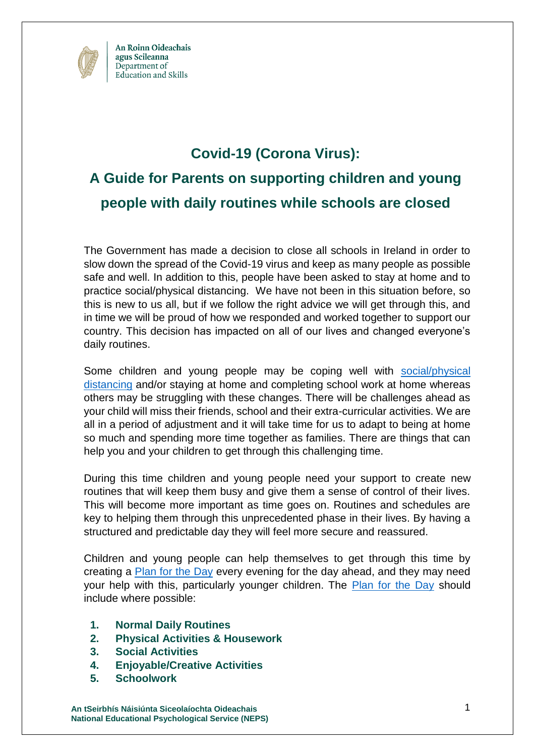

### **Covid-19 (Corona Virus):**

# **A Guide for Parents on supporting children and young people with daily routines while schools are closed**

The Government has made a decision to close all schools in Ireland in order to slow down the spread of the Covid-19 virus and keep as many people as possible safe and well. In addition to this, people have been asked to stay at home and to practice social/physical distancing. We have not been in this situation before, so this is new to us all, but if we follow the right advice we will get through this, and in time we will be proud of how we responded and worked together to support our country. This decision has impacted on all of our lives and changed everyone's daily routines.

Some children and young people may be coping well with [social/physical](https://www.youtube.com/watch?v=NMwEDi9-kOk)  [distancing](https://www.youtube.com/watch?v=NMwEDi9-kOk) and/or staying at home and completing school work at home whereas others may be struggling with these changes. There will be challenges ahead as your child will miss their friends, school and their extra-curricular activities. We are all in a period of adjustment and it will take time for us to adapt to being at home so much and spending more time together as families. There are things that can help you and your children to get through this challenging time.

During this time children and young people need your support to create new routines that will keep them busy and give them a sense of control of their lives. This will become more important as time goes on. Routines and schedules are key to helping them through this unprecedented phase in their lives. By having a structured and predictable day they will feel more secure and reassured.

Children and young people can help themselves to get through this time by creating a [Plan for the Day](https://www.education.ie/en/The-Department/Announcements/plan-your-day.pdf) every evening for the day ahead, and they may need your help with this, particularly younger children. The [Plan for the Day](https://www.education.ie/en/The-Department/Announcements/plan-your-day.pdf) should include where possible:

- **1. Normal Daily Routines**
- **2. Physical Activities & Housework**
- **3. Social Activities**
- **4. Enjoyable/Creative Activities**
- **5. Schoolwork**

**An tSeirbhís Náisiúnta Siceolaíochta Oideachais** 1 **National Educational Psychological Service (NEPS)**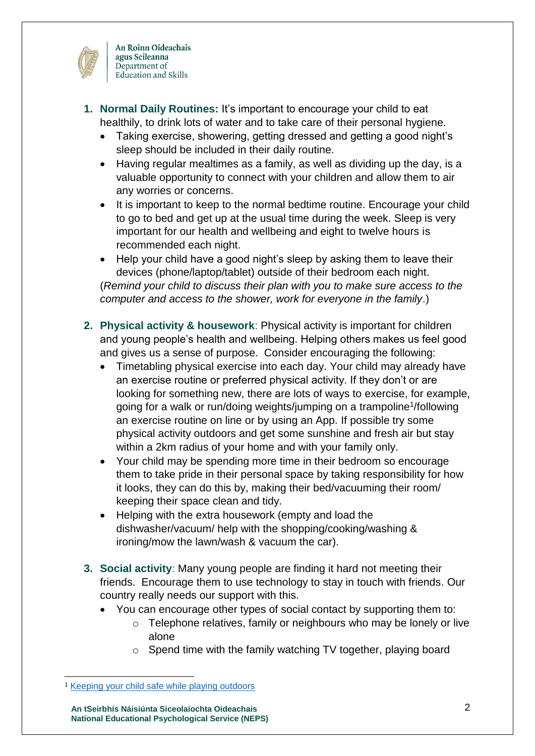

- **1. Normal Daily Routines:** It's important to encourage your child to eat healthily, to drink lots of water and to take care of their personal hygiene.
	- Taking exercise, showering, getting dressed and getting a good night's sleep should be included in their daily routine.
	- Having regular mealtimes as a family, as well as dividing up the day, is a valuable opportunity to connect with your children and allow them to air any worries or concerns.
	- It is important to keep to the normal bedtime routine. Encourage your child to go to bed and get up at the usual time during the week. Sleep is very important for our health and wellbeing and eight to twelve hours is recommended each night.
	- Help your child have a good night's sleep by asking them to leave their devices (phone/laptop/tablet) outside of their bedroom each night. (*Remind your child to discuss their plan with you to make sure access to the computer and access to the shower, work for everyone in the family*.)
- **2. Physical activity & housework**: Physical activity is important for children and young people's health and wellbeing. Helping others makes us feel good and gives us a sense of purpose. Consider encouraging the following:
	- Timetabling physical exercise into each day. Your child may already have an exercise routine or preferred physical activity. If they don't or are looking for something new, there are lots of ways to exercise, for example, going for a walk or run/doing weights/jumping on a trampoline<sup>1</sup>/following an exercise routine on line or by using an App. If possible try some physical activity outdoors and get some sunshine and fresh air but stay within a 2km radius of your home and with your family only.
	- Your child may be spending more time in their bedroom so encourage them to take pride in their personal space by taking responsibility for how it looks, they can do this by, making their bed/vacuuming their room/ keeping their space clean and tidy.
	- Helping with the extra housework (empty and load the dishwasher/vacuum/ help with the shopping/cooking/washing & ironing/mow the lawn/wash & vacuum the car).
- **3. Social activity**: Many young people are finding it hard not meeting their friends. Encourage them to use technology to stay in touch with friends. Our country really needs our support with this.
	- You can encourage other types of social contact by supporting them to:
		- o Telephone relatives, family or neighbours who may be lonely or live alone
		- o Spend time with the family watching TV together, playing board

-

**An tSeirbhís Náisiúnta Siceolaíochta Oideachais** 2 **National Educational Psychological Service (NEPS)**

<sup>1</sup> [Keeping your child safe while playing outdoors](https://www2.hse.ie/wellbeing/child-health/keeping-your-child-safe-when-playing-outdoors/playing-outside-your-home-keeping-your-child-safe.html)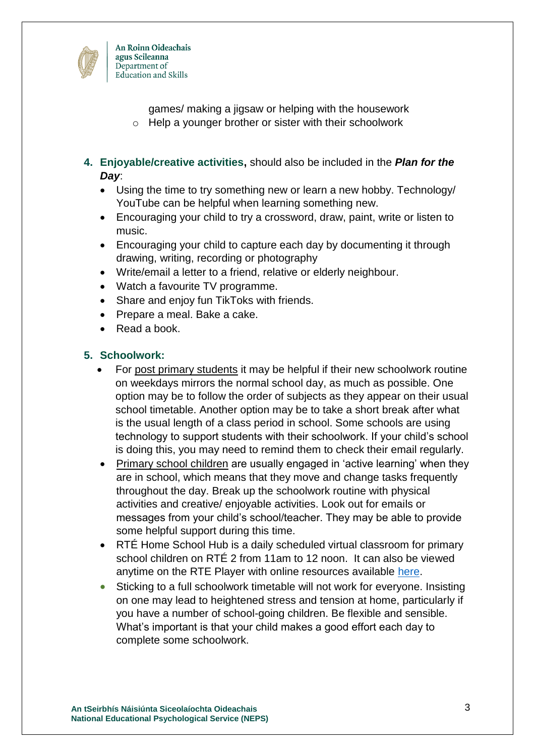

- games/ making a jigsaw or helping with the housework
- o Help a younger brother or sister with their schoolwork
- **4. Enjoyable/creative activities,** should also be included in the *Plan for the Day*:
	- Using the time to try something new or learn a new hobby. Technology/ YouTube can be helpful when learning something new.
	- Encouraging your child to try a crossword, draw, paint, write or listen to music.
	- Encouraging your child to capture each day by documenting it through drawing, writing, recording or photography
	- Write/email a letter to a friend, relative or elderly neighbour.
	- Watch a favourite TV programme.
	- Share and enjoy fun TikToks with friends.
	- Prepare a meal. Bake a cake.
	- Read a book.

#### **5. Schoolwork:**

- For post primary students it may be helpful if their new schoolwork routine on weekdays mirrors the normal school day, as much as possible. One option may be to follow the order of subjects as they appear on their usual school timetable. Another option may be to take a short break after what is the usual length of a class period in school. Some schools are using technology to support students with their schoolwork. If your child's school is doing this, you may need to remind them to check their email regularly.
- Primary school children are usually engaged in 'active learning' when they are in school, which means that they move and change tasks frequently throughout the day. Break up the schoolwork routine with physical activities and creative/ enjoyable activities. Look out for emails or messages from your child's school/teacher. They may be able to provide some helpful support during this time.
- RTÉ Home School Hub is a daily scheduled virtual classroom for primary school children on RTÉ 2 from 11am to 12 noon. It can also be viewed anytime on the RTE Player with online resources available [here.](https://www.rte.ie/learn/)
- Sticking to a full schoolwork timetable will not work for everyone. Insisting on one may lead to heightened stress and tension at home, particularly if you have a number of school-going children. Be flexible and sensible. What's important is that your child makes a good effort each day to complete some schoolwork.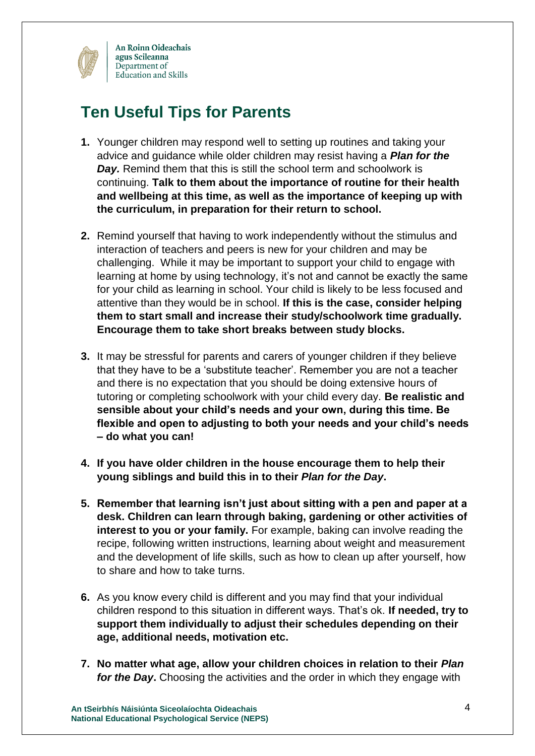

## **Ten Useful Tips for Parents**

- **1.** Younger children may respond well to setting up routines and taking your advice and guidance while older children may resist having a *Plan for the Day.* Remind them that this is still the school term and schoolwork is continuing. **Talk to them about the importance of routine for their health and wellbeing at this time, as well as the importance of keeping up with the curriculum, in preparation for their return to school.**
- **2.** Remind yourself that having to work independently without the stimulus and interaction of teachers and peers is new for your children and may be challenging. While it may be important to support your child to engage with learning at home by using technology, it's not and cannot be exactly the same for your child as learning in school. Your child is likely to be less focused and attentive than they would be in school. **If this is the case, consider helping them to start small and increase their study/schoolwork time gradually. Encourage them to take short breaks between study blocks.**
- **3.** It may be stressful for parents and carers of younger children if they believe that they have to be a 'substitute teacher'. Remember you are not a teacher and there is no expectation that you should be doing extensive hours of tutoring or completing schoolwork with your child every day. **Be realistic and sensible about your child's needs and your own, during this time. Be flexible and open to adjusting to both your needs and your child's needs – do what you can!**
- **4. If you have older children in the house encourage them to help their young siblings and build this in to their** *Plan for the Day***.**
- **5. Remember that learning isn't just about sitting with a pen and paper at a desk. Children can learn through baking, gardening or other activities of interest to you or your family.** For example, baking can involve reading the recipe, following written instructions, learning about weight and measurement and the development of life skills, such as how to clean up after yourself, how to share and how to take turns.
- **6.** As you know every child is different and you may find that your individual children respond to this situation in different ways. That's ok. **If needed, try to support them individually to adjust their schedules depending on their age, additional needs, motivation etc.**
- **7. No matter what age, allow your children choices in relation to their** *Plan for the Day***.** Choosing the activities and the order in which they engage with